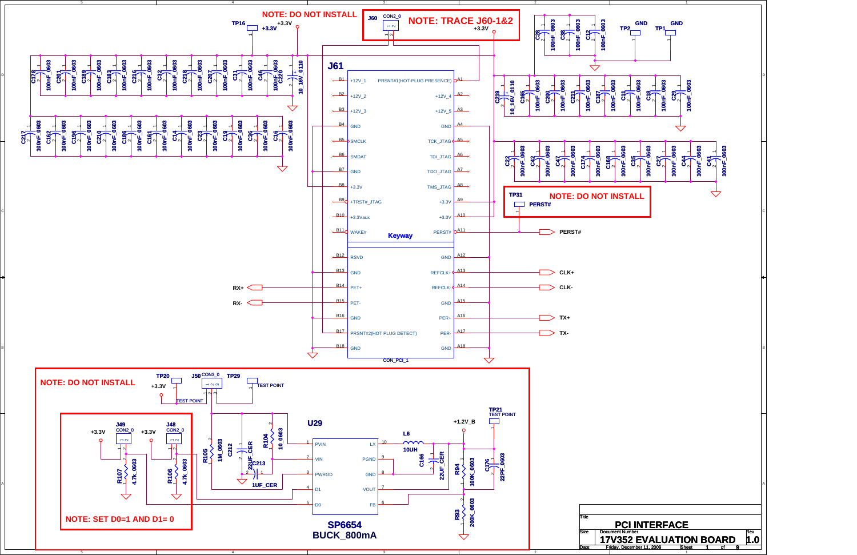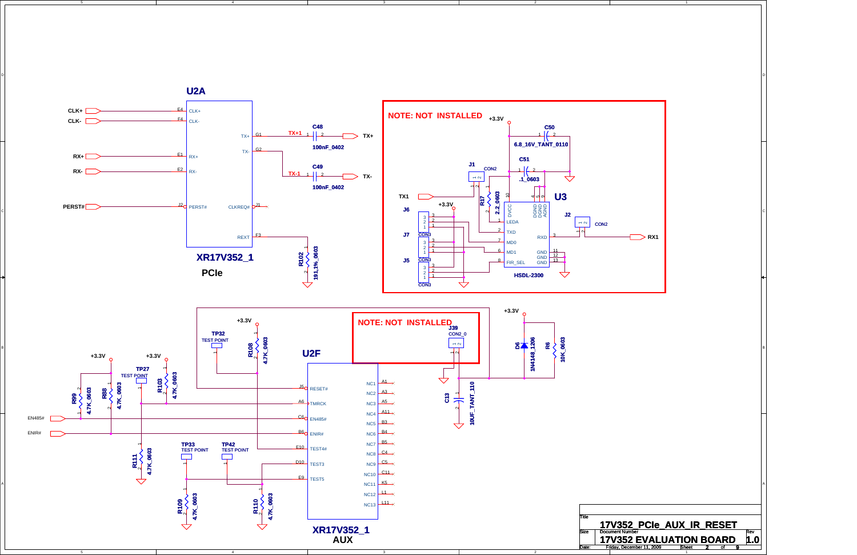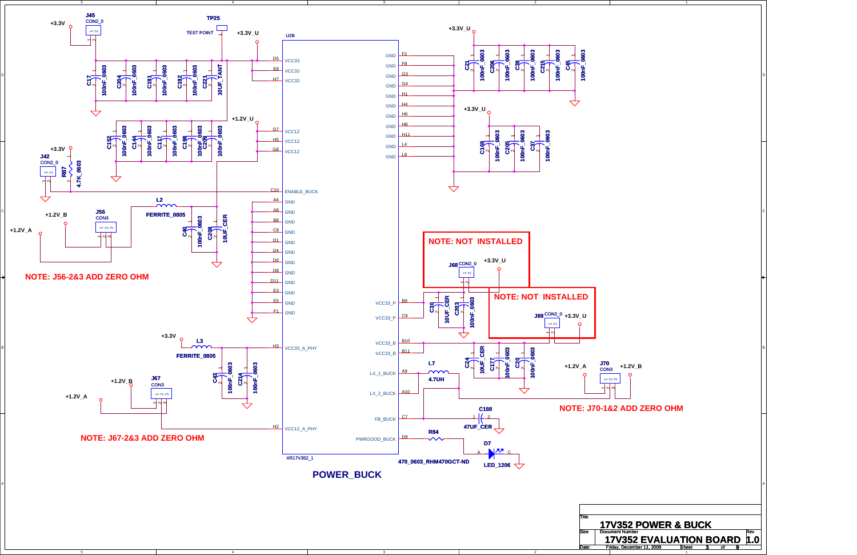

D

C

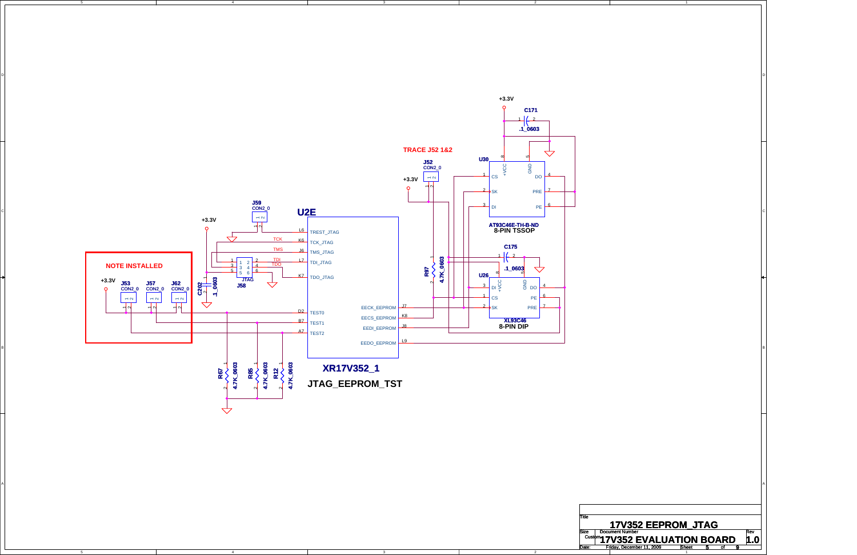4

4

5

3

3

2

2

D

C



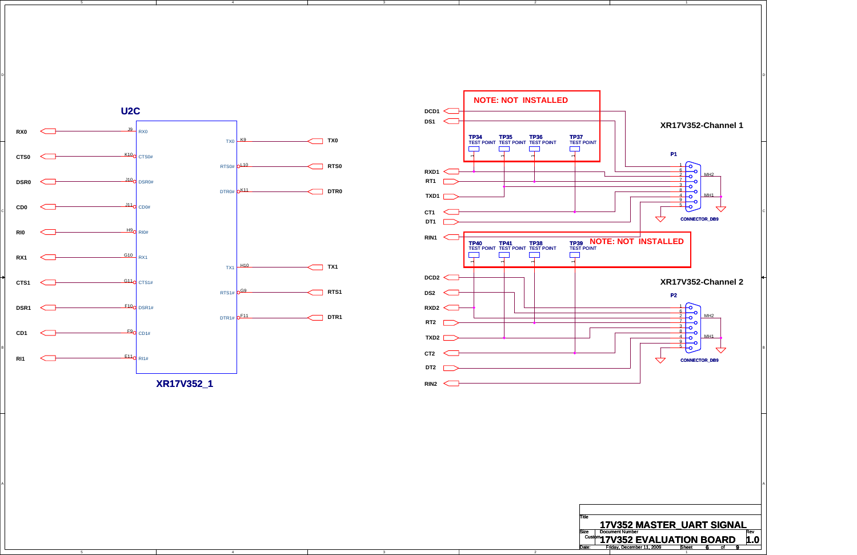4

4

5

3

3





D

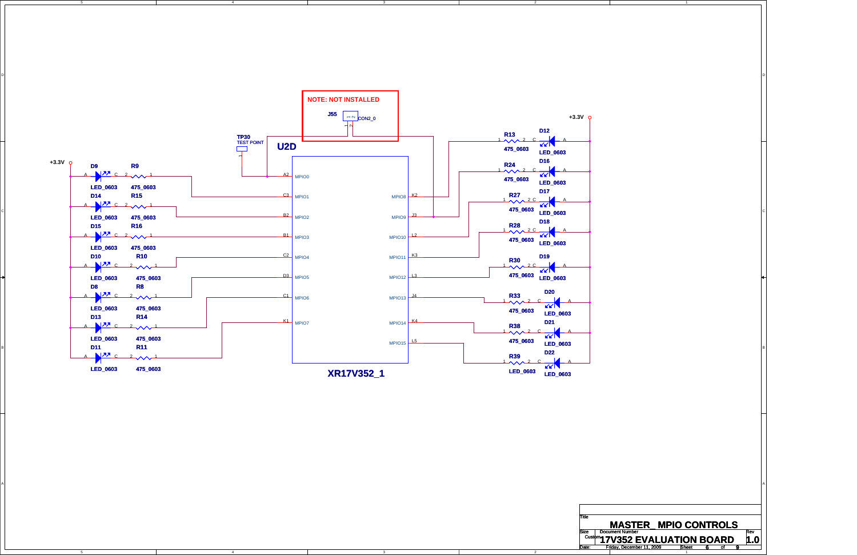4

4

5

3

3

2

2

D

C



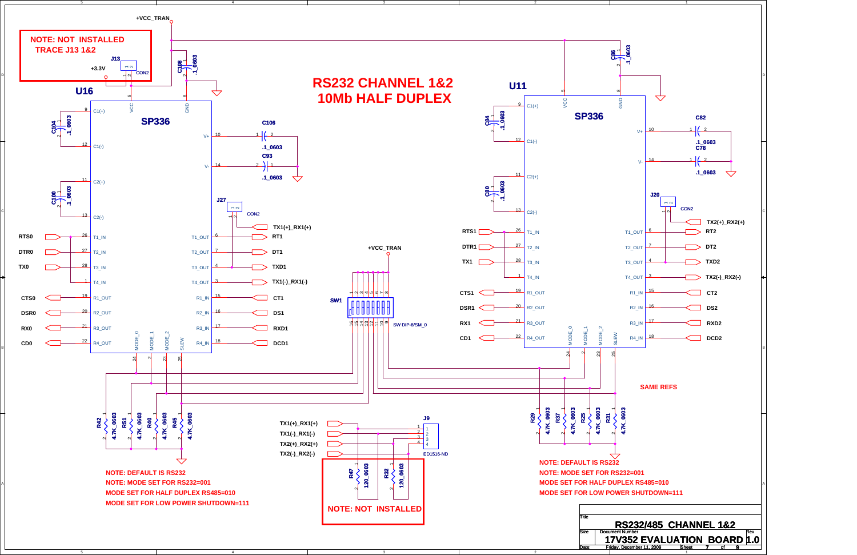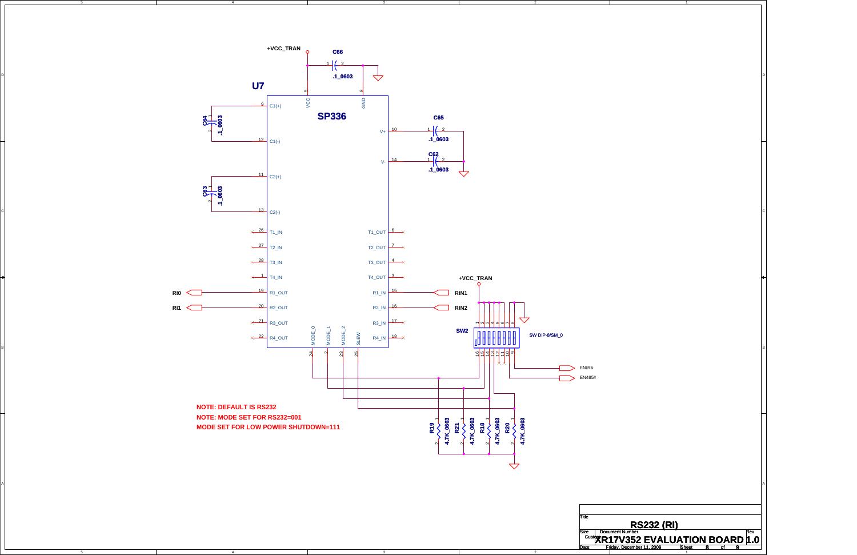4

4

3

3

2

5

2

D

C

A

Title Custom